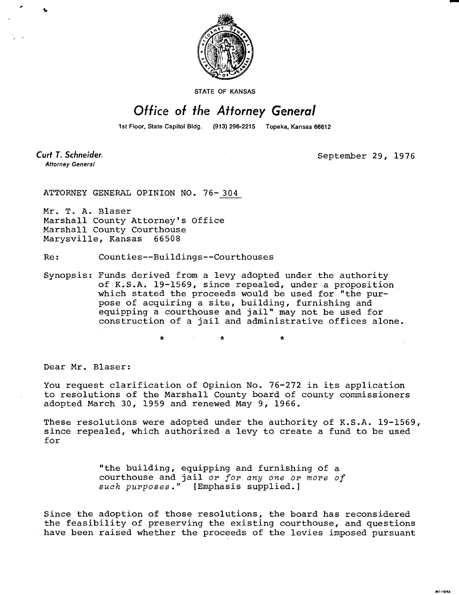

STATE OF KANSAS

## Office of the Attorney General

1st Floor, State Capitol Bldg. (913) 296-2215 Topeka, Kansas 66612

Curt T. Schneider. **Attorney General** 

September 29, 1976

HI-1043

ATTORNEY GENERAL OPINION NO. 76-304

Mr. T. A. Blaser Marshall County Attorney's Office Marshall County Courthouse Marysville, Kansas 66508

Re: Counties--Buildings--Courthouses

\*

Synopsis: Funds derived from a levy adopted under the authority of K.S.A. 19-1569, since repealed, under a proposition which stated the proceeds would be used for "the purpose of acquiring a site, building, furnishing and equipping a courthouse and jail" may not be used for construction of a jail and administrative offices alone.

Dear Mr. Blaser:

You request clarification of Opinion No. 76-272 in its application to resolutions of the Marshall County board of county commissioners adopted March 30, 1959 and renewed May 9, 1966.

These resolutions were adopted under the authority of K.S.A. 19-1569, since repealed, which authorized a levy to create a fund to be used for

> "the building, equipping and furnishing of a courthouse and jail or for any one or more of such purposes." [Emphasis supplied.]

Since the adoption of those resolutions, the board has reconsidered the feasibility of preserving the existing courthouse, and questions have been raised whether the proceeds of the levies imposed pursuant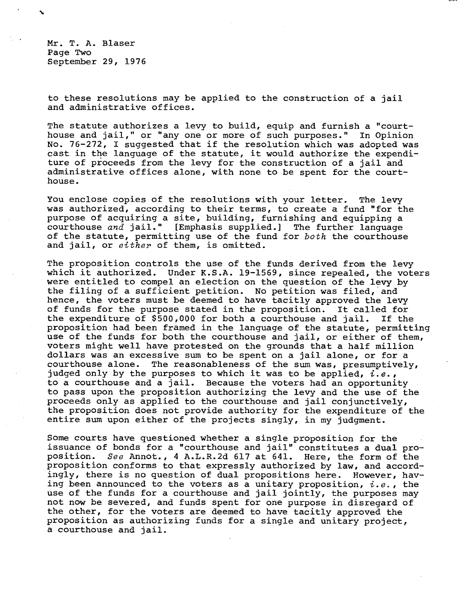Mr. T. A. Blaser Page Two September 29, 1976

to these resolutions may be applied to the construction of a jail and administrative offices.

The statute authorizes a levy to build, equip and furnish a "courthouse and jail," or "any one or more of such purposes." In Opinion No. 76-272, I suggested that if the resolution which was adopted was cast in the language of the statute, it would authorize the expenditure of proceeds from the levy for the construction of a jail and administrative offices alone, with none to be spent for the courthouse.

You enclose copies of the resolutions with your letter. The levy was authorized, according to their terms, to create a fund "for the purpose of acquiring a site, building, furnishing and equipping a courthouse  $and$  jail." [Emphasis supplied.] The further language of the statute, permitting use of the fund for both the courthouse and jail, or either of them, is omitted.

The proposition controls the use of the funds derived from the levy which it authorized. Under K.S.A. 19-1569, since repealed, the voters were entitled to compel an election on the question of the levy by the filing of a sufficient petition. No petition was filed, and hence, the voters must be deemed to have tacitly approved the levy of funds for the purpose stated in the proposition. It called for the expenditure of \$500,000 for both a courthouse and jail. If the proposition had been framed in the language of the statute, permitting use of the funds for both the courthouse and jail, or either of them, voters might well have protested on the grounds that a half million dollars was an excessive sum to be spent on a jail alone, or for a courthouse alone. The reasonableness of the sum was, presumptively, judged only by the purposes to which it was to be applied,  $i.e.,$ to a courthouse and a jail. Because the voters had an opportunity to pass upon the proposition authorizing the levy and the use of the proceeds only as applied to the courthouse and jail conjunctively, the proposition does not provide authority for the expenditure of the entire sum upon either of the projects singly, in my judgment.

Some courts have questioned whether a single proposition for the issuance of bonds for a "courthouse and jail" constitutes a dual proposition. See Annot., 4 A.L.R.2d 617 at 641. Here, the form of the proposition conforms to that expressly authorized by law, and accordingly, there is no question of dual propositions here. However, having been announced to the voters as a unitary proposition,  $i.e.$ , the use of the funds for a courthouse and jail jointly, the purposes may not now be severed, and funds spent for one purpose in disregard of the other, for the voters are deemed to have tacitly approved the proposition as authorizing funds for a single and unitary project, a courthouse and jail.